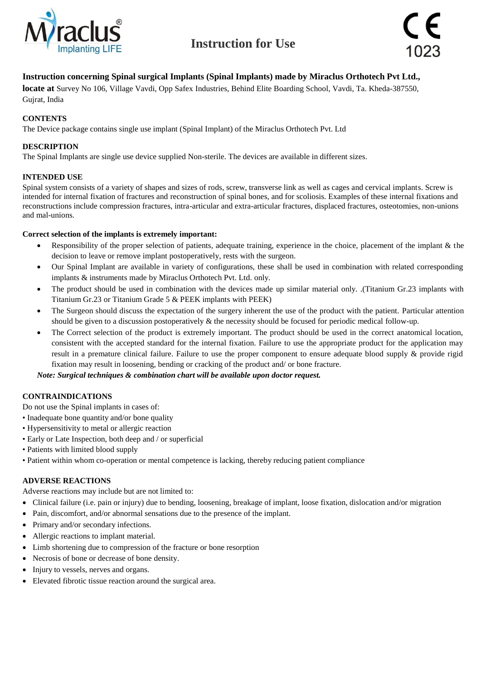



### **Instruction concerning Spinal surgical Implants (Spinal Implants) made by Miraclus Orthotech Pvt Ltd.,**

**locate at** Survey No 106, Village Vavdi, Opp Safex Industries, Behind Elite Boarding School, Vavdi, Ta. Kheda-387550, Gujrat, India

#### **CONTENTS**

The Device package contains single use implant (Spinal Implant) of the Miraclus Orthotech Pvt. Ltd

#### **DESCRIPTION**

The Spinal Implants are single use device supplied Non-sterile. The devices are available in different sizes.

#### **INTENDED USE**

Spinal system consists of a variety of shapes and sizes of rods, screw, transverse link as well as cages and cervical implants. Screw is intended for internal fixation of fractures and reconstruction of spinal bones, and for scoliosis. Examples of these internal fixations and reconstructions include compression fractures, intra-articular and extra-articular fractures, displaced fractures, osteotomies, non-unions and mal-unions.

#### **Correct selection of the implants is extremely important:**

- Responsibility of the proper selection of patients, adequate training, experience in the choice, placement of the implant & the decision to leave or remove implant postoperatively, rests with the surgeon.
- Our Spinal Implant are available in variety of configurations, these shall be used in combination with related corresponding implants & instruments made by Miraclus Orthotech Pvt. Ltd. only.
- The product should be used in combination with the devices made up similar material only. .(Titanium Gr.23 implants with Titanium Gr.23 or Titanium Grade 5 & PEEK implants with PEEK)
- The Surgeon should discuss the expectation of the surgery inherent the use of the product with the patient. Particular attention should be given to a discussion postoperatively & the necessity should be focused for periodic medical follow-up.
- The Correct selection of the product is extremely important. The product should be used in the correct anatomical location, consistent with the accepted standard for the internal fixation. Failure to use the appropriate product for the application may result in a premature clinical failure. Failure to use the proper component to ensure adequate blood supply & provide rigid fixation may result in loosening, bending or cracking of the product and/ or bone fracture.

*Note: Surgical techniques & combination chart will be available upon doctor request.*

#### **CONTRAINDICATIONS**

- Do not use the Spinal implants in cases of:
- Inadequate bone quantity and/or bone quality
- Hypersensitivity to metal or allergic reaction
- Early or Late Inspection, both deep and / or superficial
- Patients with limited blood supply
- Patient within whom co-operation or mental competence is lacking, thereby reducing patient compliance

#### **ADVERSE REACTIONS**

Adverse reactions may include but are not limited to:

- Clinical failure (i.e. pain or injury) due to bending, loosening, breakage of implant, loose fixation, dislocation and/or migration
- Pain, discomfort, and/or abnormal sensations due to the presence of the implant.
- Primary and/or secondary infections.
- Allergic reactions to implant material.
- Limb shortening due to compression of the fracture or bone resorption
- Necrosis of bone or decrease of bone density.
- Injury to vessels, nerves and organs.
- Elevated fibrotic tissue reaction around the surgical area.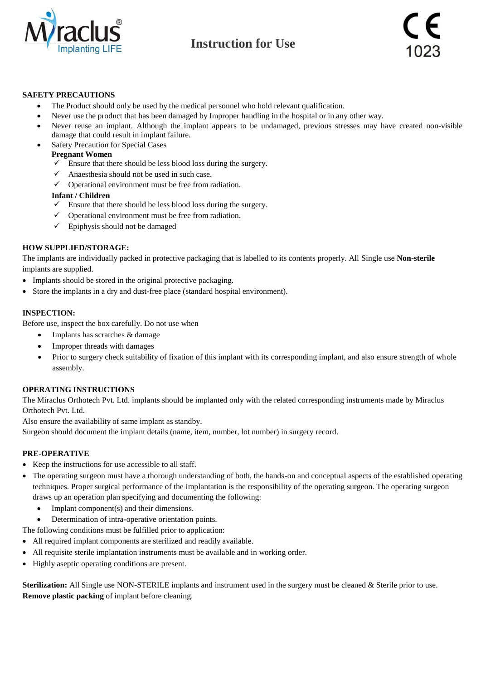

#### **SAFETY PRECAUTIONS**

- The Product should only be used by the medical personnel who hold relevant qualification.
- Never use the product that has been damaged by Improper handling in the hospital or in any other way.
- Never reuse an implant. Although the implant appears to be undamaged, previous stresses may have created non-visible damage that could result in implant failure.
- Safety Precaution for Special Cases

#### **Pregnant Women**

- $\checkmark$  Ensure that there should be less blood loss during the surgery.
- $\checkmark$  Anaesthesia should not be used in such case.
- $\checkmark$  Operational environment must be free from radiation.

#### **Infant / Children**

- $\checkmark$  Ensure that there should be less blood loss during the surgery.
- $\checkmark$  Operational environment must be free from radiation.
- $\checkmark$  Epiphysis should not be damaged

#### **HOW SUPPLIED/STORAGE:**

The implants are individually packed in protective packaging that is labelled to its contents properly. All Single use **Non-sterile** implants are supplied.

- Implants should be stored in the original protective packaging.
- Store the implants in a dry and dust-free place (standard hospital environment).

#### **INSPECTION:**

Before use, inspect the box carefully. Do not use when

- Implants has scratches & damage
- Improper threads with damages
- Prior to surgery check suitability of fixation of this implant with its corresponding implant, and also ensure strength of whole assembly.

#### **OPERATING INSTRUCTIONS**

The Miraclus Orthotech Pvt. Ltd. implants should be implanted only with the related corresponding instruments made by Miraclus Orthotech Pvt. Ltd.

Also ensure the availability of same implant as standby.

Surgeon should document the implant details (name, item, number, lot number) in surgery record.

#### **PRE-OPERATIVE**

- Keep the instructions for use accessible to all staff.
- The operating surgeon must have a thorough understanding of both, the hands-on and conceptual aspects of the established operating techniques. Proper surgical performance of the implantation is the responsibility of the operating surgeon. The operating surgeon draws up an operation plan specifying and documenting the following:
	- Implant component(s) and their dimensions.
	- Determination of intra-operative orientation points.

The following conditions must be fulfilled prior to application:

- All required implant components are sterilized and readily available.
- All requisite sterile implantation instruments must be available and in working order.
- Highly aseptic operating conditions are present.

**Sterilization:** All Single use NON-STERILE implants and instrument used in the surgery must be cleaned & Sterile prior to use. **Remove plastic packing** of implant before cleaning.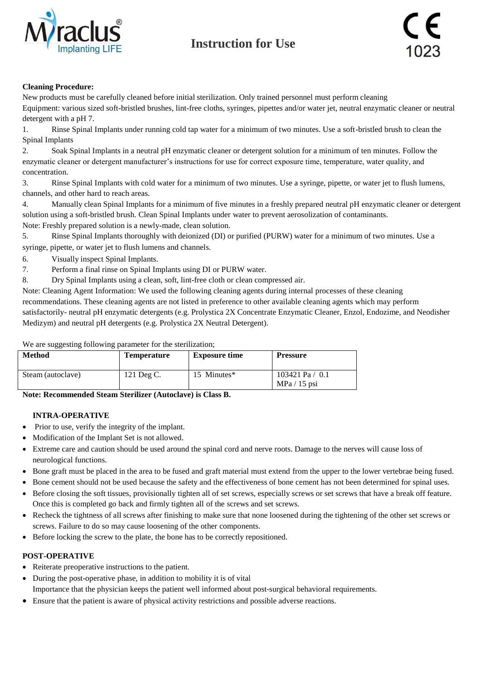



#### **Cleaning Procedure:**

New products must be carefully cleaned before initial sterilization. Only trained personnel must perform cleaning

Equipment: various sized soft-bristled brushes, lint-free cloths, syringes, pipettes and/or water jet, neutral enzymatic cleaner or neutral detergent with a pH 7.

1. Rinse Spinal Implants under running cold tap water for a minimum of two minutes. Use a soft-bristled brush to clean the Spinal Implants

2. Soak Spinal Implants in a neutral pH enzymatic cleaner or detergent solution for a minimum of ten minutes. Follow the enzymatic cleaner or detergent manufacturer's instructions for use for correct exposure time, temperature, water quality, and concentration.

3. Rinse Spinal Implants with cold water for a minimum of two minutes. Use a syringe, pipette, or water jet to flush lumens, channels, and other hard to reach areas.

4. Manually clean Spinal Implants for a minimum of five minutes in a freshly prepared neutral pH enzymatic cleaner or detergent solution using a soft-bristled brush. Clean Spinal Implants under water to prevent aerosolization of contaminants.

Note: Freshly prepared solution is a newly-made, clean solution.

5. Rinse Spinal Implants thoroughly with deionized (DI) or purified (PURW) water for a minimum of two minutes. Use a syringe, pipette, or water jet to flush lumens and channels.

- 6. Visually inspect Spinal Implants.
- 7. Perform a final rinse on Spinal Implants using DI or PURW water.
- 8. Dry Spinal Implants using a clean, soft, lint-free cloth or clean compressed air.

Note: Cleaning Agent Information: We used the following cleaning agents during internal processes of these cleaning recommendations. These cleaning agents are not listed in preference to other available cleaning agents which may perform satisfactorily- neutral pH enzymatic detergents (e.g. Prolystica 2X Concentrate Enzymatic Cleaner, Enzol, Endozime, and Neodisher Medizym) and neutral pH detergents (e.g. Prolystica 2X Neutral Detergent).

We are suggesting following parameter for the sterilization;

| <b>Method</b>     | Temperature | <b>Exposure time</b> | <b>Pressure</b>                     |
|-------------------|-------------|----------------------|-------------------------------------|
| Steam (autoclave) | 121 Deg C.  | 15 Minutes*          | 103421 Pa $/$ 0.1<br>$MPa / 15$ psi |

**Note: Recommended Steam Sterilizer (Autoclave) is Class B.**

#### **INTRA-OPERATIVE**

- Prior to use, verify the integrity of the implant.
- Modification of the Implant Set is not allowed.
- Extreme care and caution should be used around the spinal cord and nerve roots. Damage to the nerves will cause loss of neurological functions.
- Bone graft must be placed in the area to be fused and graft material must extend from the upper to the lower vertebrae being fused.
- Bone cement should not be used because the safety and the effectiveness of bone cement has not been determined for spinal uses.
- Before closing the soft tissues, provisionally tighten all of set screws, especially screws or set screws that have a break off feature. Once this is completed go back and firmly tighten all of the screws and set screws.
- Recheck the tightness of all screws after finishing to make sure that none loosened during the tightening of the other set screws or screws. Failure to do so may cause loosening of the other components.
- Before locking the screw to the plate, the bone has to be correctly repositioned.

#### **POST-OPERATIVE**

- Reiterate preoperative instructions to the patient.
- During the post-operative phase, in addition to mobility it is of vital Importance that the physician keeps the patient well informed about post-surgical behavioral requirements.
- Ensure that the patient is aware of physical activity restrictions and possible adverse reactions.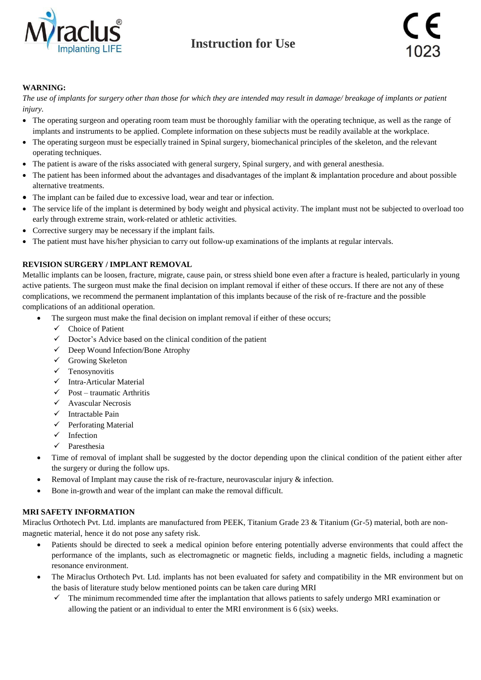



### **WARNING:**

*The use of implants for surgery other than those for which they are intended may result in damage/ breakage of implants or patient injury.*

- The operating surgeon and operating room team must be thoroughly familiar with the operating technique, as well as the range of implants and instruments to be applied. Complete information on these subjects must be readily available at the workplace.
- The operating surgeon must be especially trained in Spinal surgery, biomechanical principles of the skeleton, and the relevant operating techniques.
- The patient is aware of the risks associated with general surgery, Spinal surgery, and with general anesthesia.
- The patient has been informed about the advantages and disadvantages of the implant & implantation procedure and about possible alternative treatments.
- The implant can be failed due to excessive load, wear and tear or infection.
- The service life of the implant is determined by body weight and physical activity. The implant must not be subjected to overload too early through extreme strain, work-related or athletic activities.
- Corrective surgery may be necessary if the implant fails.
- The patient must have his/her physician to carry out follow-up examinations of the implants at regular intervals.

### **REVISION SURGERY / IMPLANT REMOVAL**

Metallic implants can be loosen, fracture, migrate, cause pain, or stress shield bone even after a fracture is healed, particularly in young active patients. The surgeon must make the final decision on implant removal if either of these occurs. If there are not any of these complications, we recommend the permanent implantation of this implants because of the risk of re-fracture and the possible complications of an additional operation.

- The surgeon must make the final decision on implant removal if either of these occurs;
	- $\checkmark$  Choice of Patient
	- $\checkmark$  Doctor's Advice based on the clinical condition of the patient
	- $\checkmark$  Deep Wound Infection/Bone Atrophy
	- $\checkmark$  Growing Skeleton
	- $\checkmark$  Tenosynovitis
	- $\checkmark$  Intra-Articular Material
	- $\checkmark$  Post traumatic Arthritis
	- $\checkmark$  Avascular Necrosis
	- $\checkmark$  Intractable Pain
	- $\checkmark$  Perforating Material
	- $\checkmark$  Infection
	- $\checkmark$  Paresthesia
- Time of removal of implant shall be suggested by the doctor depending upon the clinical condition of the patient either after the surgery or during the follow ups.
- Removal of Implant may cause the risk of re-fracture, neurovascular injury  $\&$  infection.
- Bone in-growth and wear of the implant can make the removal difficult.

#### **MRI SAFETY INFORMATION**

Miraclus Orthotech Pvt. Ltd. implants are manufactured from PEEK, Titanium Grade 23 & Titanium (Gr-5) material, both are nonmagnetic material, hence it do not pose any safety risk.

- Patients should be directed to seek a medical opinion before entering potentially adverse environments that could affect the performance of the implants, such as electromagnetic or magnetic fields, including a magnetic fields, including a magnetic resonance environment.
- The Miraclus Orthotech Pvt. Ltd. implants has not been evaluated for safety and compatibility in the MR environment but on the basis of literature study below mentioned points can be taken care during MRI
	- The minimum recommended time after the implantation that allows patients to safely undergo MRI examination or allowing the patient or an individual to enter the MRI environment is 6 (six) weeks.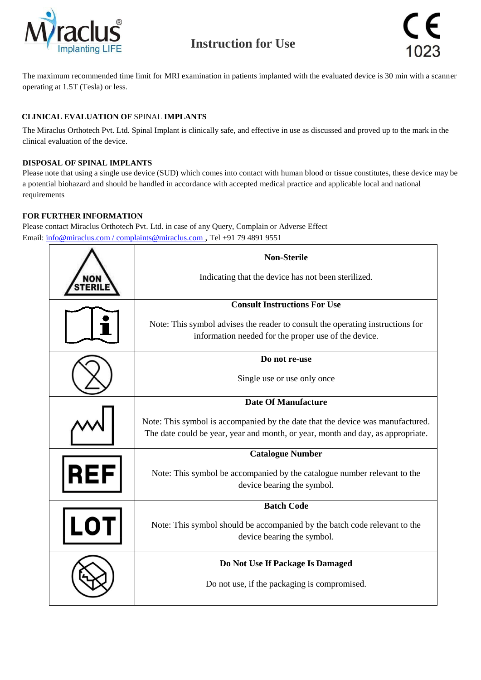



The maximum recommended time limit for MRI examination in patients implanted with the evaluated device is 30 min with a scanner operating at 1.5T (Tesla) or less.

## **CLINICAL EVALUATION OF** SPINAL **IMPLANTS**

The Miraclus Orthotech Pvt. Ltd. Spinal Implant is clinically safe, and effective in use as discussed and proved up to the mark in the clinical evaluation of the device.

### **DISPOSAL OF SPINAL IMPLANTS**

Please note that using a single use device (SUD) which comes into contact with human blood or tissue constitutes, these device may be a potential biohazard and should be handled in accordance with accepted medical practice and applicable local and national requirements

### **FOR FURTHER INFORMATION**

Please contact Miraclus Orthotech Pvt. Ltd. in case of any Query, Complain or Adverse Effect Email: [info@miraclus.com / complaints@miraclus.com](mailto:info@miraclus.com%20/%20complaints@miraclus.com) , Tel +91 79 4891 9551

|     | <b>Non-Sterile</b>                                                              |
|-----|---------------------------------------------------------------------------------|
|     | Indicating that the device has not been sterilized.                             |
|     | <b>Consult Instructions For Use</b>                                             |
|     | Note: This symbol advises the reader to consult the operating instructions for  |
|     | information needed for the proper use of the device.                            |
|     | Do not re-use                                                                   |
|     | Single use or use only once                                                     |
|     | <b>Date Of Manufacture</b>                                                      |
|     | Note: This symbol is accompanied by the date that the device was manufactured.  |
|     | The date could be year, year and month, or year, month and day, as appropriate. |
|     | <b>Catalogue Number</b>                                                         |
| REI | Note: This symbol be accompanied by the catalogue number relevant to the        |
|     | device bearing the symbol.                                                      |
|     | <b>Batch Code</b>                                                               |
|     | Note: This symbol should be accompanied by the batch code relevant to the       |
|     | device bearing the symbol.                                                      |
|     | Do Not Use If Package Is Damaged                                                |
|     | Do not use, if the packaging is compromised.                                    |
|     |                                                                                 |